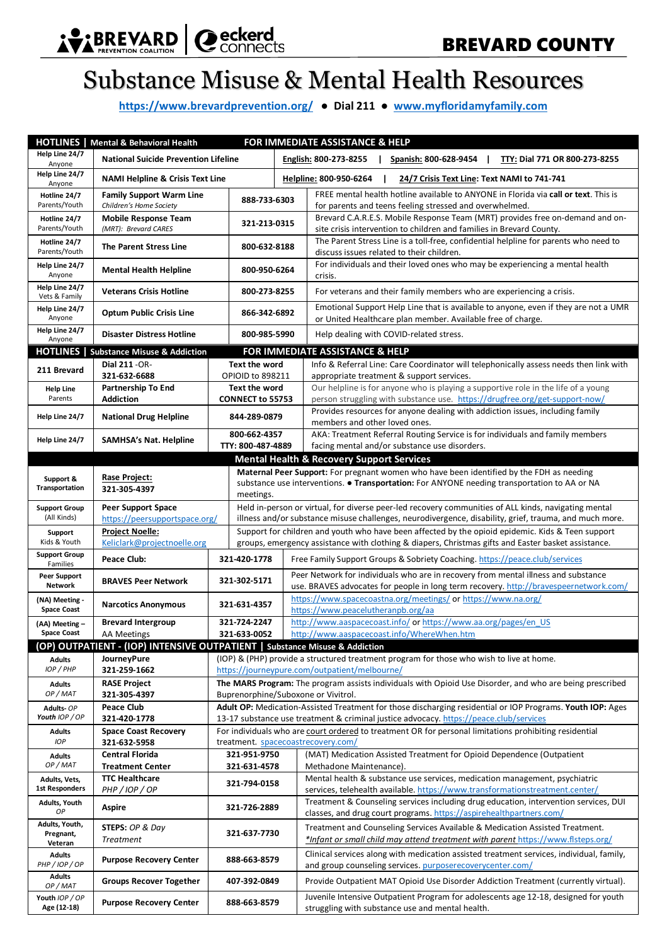

## Substance Misuse & Mental Health Resources

**<https://www.brevardprevention.org/>● Dial 211 ● [www.myfloridamyfamily.com](http://www.myfloridamyfamily.com/)**

|                                        | FOR IMMEDIATE ASSISTANCE & HELP<br><b>HOTLINES</b>   Mental & Behavioral Health            |                                                                                                                                                                                                      |                                          |                                                                                                                                                                                                             |  |  |
|----------------------------------------|--------------------------------------------------------------------------------------------|------------------------------------------------------------------------------------------------------------------------------------------------------------------------------------------------------|------------------------------------------|-------------------------------------------------------------------------------------------------------------------------------------------------------------------------------------------------------------|--|--|
| Help Line 24/7<br>Anyone               | <b>National Suicide Prevention Lifeline</b>                                                |                                                                                                                                                                                                      |                                          | English: 800-273-8255<br>Spanish: 800-628-9454<br>$\mathbf{I}$<br>TTY: Dial 771 OR 800-273-8255<br>$\mathbf{L}$                                                                                             |  |  |
| Help Line 24/7<br>Anyone               | <b>NAMI Helpline &amp; Crisis Text Line</b>                                                |                                                                                                                                                                                                      |                                          | Helpline: 800-950-6264<br>24/7 Crisis Text Line: Text NAMI to 741-741<br>ı                                                                                                                                  |  |  |
| Hotline 24/7<br>Parents/Youth          | <b>Family Support Warm Line</b><br>Children's Home Society                                 |                                                                                                                                                                                                      | 888-733-6303                             | FREE mental health hotline available to ANYONE in Florida via call or text. This is<br>for parents and teens feeling stressed and overwhelmed.                                                              |  |  |
| Hotline 24/7<br>Parents/Youth          | <b>Mobile Response Team</b><br>(MRT): Brevard CARES                                        |                                                                                                                                                                                                      | 321-213-0315                             | Brevard C.A.R.E.S. Mobile Response Team (MRT) provides free on-demand and on-<br>site crisis intervention to children and families in Brevard County.                                                       |  |  |
| Hotline 24/7<br>Parents/Youth          | <b>The Parent Stress Line</b>                                                              |                                                                                                                                                                                                      | 800-632-8188                             | The Parent Stress Line is a toll-free, confidential helpline for parents who need to<br>discuss issues related to their children.                                                                           |  |  |
| Help Line 24/7<br>Anyone               | <b>Mental Health Helpline</b>                                                              |                                                                                                                                                                                                      | 800-950-6264                             | For individuals and their loved ones who may be experiencing a mental health<br>crisis.                                                                                                                     |  |  |
| Help Line 24/7<br>Vets & Family        | <b>Veterans Crisis Hotline</b>                                                             |                                                                                                                                                                                                      | 800-273-8255                             | For veterans and their family members who are experiencing a crisis.                                                                                                                                        |  |  |
| Help Line 24/7<br>Anyone               | <b>Optum Public Crisis Line</b>                                                            |                                                                                                                                                                                                      | 866-342-6892                             | Emotional Support Help Line that is available to anyone, even if they are not a UMR<br>or United Healthcare plan member. Available free of charge.                                                          |  |  |
| Help Line 24/7<br>Anvone               | <b>Disaster Distress Hotline</b>                                                           |                                                                                                                                                                                                      | 800-985-5990                             | Help dealing with COVID-related stress.                                                                                                                                                                     |  |  |
|                                        | <b>HOTLINES</b>   Substance Misuse & Addiction                                             |                                                                                                                                                                                                      |                                          | FOR IMMEDIATE ASSISTANCE & HELP                                                                                                                                                                             |  |  |
| 211 Brevard                            | Dial 211 - OR-<br>321-632-6688                                                             |                                                                                                                                                                                                      | <b>Text the word</b><br>OPIOID to 898211 | Info & Referral Line: Care Coordinator will telephonically assess needs then link with<br>appropriate treatment & support services.                                                                         |  |  |
| <b>Help Line</b><br>Parents            | Partnership To End<br><b>Addiction</b>                                                     | <b>Text the word</b><br>CONNECT to 55753                                                                                                                                                             |                                          | Our helpline is for anyone who is playing a supportive role in the life of a young<br>person struggling with substance use. https://drugfree.org/get-support-now/                                           |  |  |
| Help Line 24/7                         | <b>National Drug Helpline</b>                                                              | 844-289-0879                                                                                                                                                                                         |                                          | Provides resources for anyone dealing with addiction issues, including family<br>members and other loved ones.                                                                                              |  |  |
| Help Line 24/7                         | <b>SAMHSA's Nat. Helpline</b>                                                              |                                                                                                                                                                                                      | 800-662-4357<br>TTY: 800-487-4889        | AKA: Treatment Referral Routing Service is for individuals and family members<br>facing mental and/or substance use disorders.                                                                              |  |  |
|                                        |                                                                                            |                                                                                                                                                                                                      |                                          | <b>Mental Health &amp; Recovery Support Services</b>                                                                                                                                                        |  |  |
| Support &<br>Transportation            | Rase Project:<br>321-305-4397                                                              | Maternal Peer Support: For pregnant women who have been identified by the FDH as needing<br>substance use interventions. . Transportation: For ANYONE needing transportation to AA or NA<br>meetings |                                          |                                                                                                                                                                                                             |  |  |
| <b>Support Group</b>                   | <b>Peer Support Space</b>                                                                  |                                                                                                                                                                                                      |                                          | Held in-person or virtual, for diverse peer-led recovery communities of ALL kinds, navigating mental                                                                                                        |  |  |
| (All Kinds)                            | https://peersupportspace.org/<br><b>Project Noelle:</b>                                    |                                                                                                                                                                                                      |                                          | illness and/or substance misuse challenges, neurodivergence, disability, grief, trauma, and much more.<br>Support for children and youth who have been affected by the opioid epidemic. Kids & Teen support |  |  |
| Support<br>Kids & Youth                | Keliclark@projectnoelle.org                                                                | groups, emergency assistance with clothing & diapers, Christmas gifts and Easter basket assistance.                                                                                                  |                                          |                                                                                                                                                                                                             |  |  |
| <b>Support Group</b><br>Families       | Peace Club:                                                                                |                                                                                                                                                                                                      | 321-420-1778                             | Free Family Support Groups & Sobriety Coaching. https://peace.club/services                                                                                                                                 |  |  |
| <b>Peer Support</b><br><b>Network</b>  | <b>BRAVES Peer Network</b>                                                                 |                                                                                                                                                                                                      | 321-302-5171                             | Peer Network for individuals who are in recovery from mental illness and substance<br>use. BRAVES advocates for people in long term recovery. http://bravespeernetwork.com/                                 |  |  |
| (NA) Meeting -<br><b>Space Coast</b>   | <b>Narcotics Anonymous</b>                                                                 |                                                                                                                                                                                                      | 321-631-4357                             | https://www.spacecoastna.org/meetings/ or https://www.na.org/<br>https://www.peacelutheranpb.org/aa                                                                                                         |  |  |
| (AA) Meeting -<br><b>Space Coast</b>   | <b>Brevard Intergroup</b>                                                                  |                                                                                                                                                                                                      | 321-724-2247<br>321-633-0052             | http://www.aaspacecoast.info/ or https://www.aa.org/pages/en US                                                                                                                                             |  |  |
|                                        | <b>AA Meetings</b>                                                                         |                                                                                                                                                                                                      |                                          | http://www.aaspacecoast.info/WhereWhen.htm                                                                                                                                                                  |  |  |
| <b>Adults</b>                          | (OP) OUTPATIENT - (IOP) INTENSIVE OUTPATIENT   Substance Misuse & Addiction<br>JourneyPure |                                                                                                                                                                                                      |                                          |                                                                                                                                                                                                             |  |  |
| IOP / PHP                              | 321-259-1662                                                                               | (IOP) & (PHP) provide a structured treatment program for those who wish to live at home.<br>https://journeypure.com/outpatient/melbourne/                                                            |                                          |                                                                                                                                                                                                             |  |  |
| <b>Adults</b>                          | <b>RASE Project</b>                                                                        | The MARS Program: The program assists individuals with Opioid Use Disorder, and who are being prescribed                                                                                             |                                          |                                                                                                                                                                                                             |  |  |
| OP / MAT                               | 321-305-4397                                                                               | Buprenorphine/Suboxone or Vivitrol.                                                                                                                                                                  |                                          |                                                                                                                                                                                                             |  |  |
| Adults-OP<br>Youth IOP / OP            | <b>Peace Club</b><br>321-420-1778                                                          | Adult OP: Medication-Assisted Treatment for those discharging residential or IOP Programs. Youth IOP: Ages<br>13-17 substance use treatment & criminal justice advocacy. https://peace.club/services |                                          |                                                                                                                                                                                                             |  |  |
| <b>Adults</b><br><b>IOP</b>            | <b>Space Coast Recovery</b><br>321-632-5958                                                |                                                                                                                                                                                                      |                                          | For individuals who are court ordered to treatment OR for personal limitations prohibiting residential<br>treatment. spacecoastrecovery.com/                                                                |  |  |
| <b>Adults</b><br>OP / MAT              | <b>Central Florida</b><br><b>Treatment Center</b>                                          |                                                                                                                                                                                                      | 321-951-9750<br>321-631-4578             | (MAT) Medication Assisted Treatment for Opioid Dependence (Outpatient<br>Methadone Maintenance).                                                                                                            |  |  |
| Adults, Vets,<br><b>1st Responders</b> | <b>TTC Healthcare</b><br><b>PHP/IOP/OP</b>                                                 |                                                                                                                                                                                                      | 321-794-0158                             | Mental health & substance use services, medication management, psychiatric<br>services, telehealth available. https://www.transformationstreatment.center/                                                  |  |  |
| Adults, Youth<br><b>OP</b>             | <b>Aspire</b>                                                                              |                                                                                                                                                                                                      | 321-726-2889                             | Treatment & Counseling services including drug education, intervention services, DUI<br>classes, and drug court programs. https://aspirehealthpartners.com/                                                 |  |  |
| Adults, Youth,<br>Pregnant,            | STEPS: OP & Day<br><b>Treatment</b>                                                        |                                                                                                                                                                                                      | 321-637-7730                             | Treatment and Counseling Services Available & Medication Assisted Treatment.<br>*Infant or small child may attend treatment with parent https://www.fisteps.org/                                            |  |  |
| Veteran<br><b>Adults</b>               | <b>Purpose Recovery Center</b>                                                             |                                                                                                                                                                                                      | 888-663-8579                             | Clinical services along with medication assisted treatment services, individual, family,                                                                                                                    |  |  |
| PHP/IOP/OP<br><b>Adults</b>            |                                                                                            |                                                                                                                                                                                                      |                                          | and group counseling services. purposerecoverycenter.com/                                                                                                                                                   |  |  |
| OP / MAT                               | <b>Groups Recover Together</b>                                                             |                                                                                                                                                                                                      | 407-392-0849                             | Provide Outpatient MAT Opioid Use Disorder Addiction Treatment (currently virtual).                                                                                                                         |  |  |
| Youth IOP / OP<br>Age (12-18)          | <b>Purpose Recovery Center</b>                                                             |                                                                                                                                                                                                      | 888-663-8579                             | Juvenile Intensive Outpatient Program for adolescents age 12-18, designed for youth<br>struggling with substance use and mental health.                                                                     |  |  |